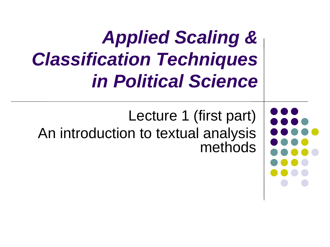*Applied Scaling & Classification Techniques in Political Science*

Lecture 1 (first part) An introduction to textual analysis methods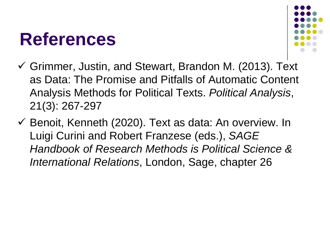## **References**



- Grimmer, Justin, and Stewart, Brandon M. (2013). Text as Data: The Promise and Pitfalls of Automatic Content Analysis Methods for Political Texts. *Political Analysis*, 21(3): 267-297
- $\checkmark$  Benoit, Kenneth (2020). Text as data: An overview. In Luigi Curini and Robert Franzese (eds.), *SAGE Handbook of Research Methods is Political Science & International Relations*, London, Sage, chapter 26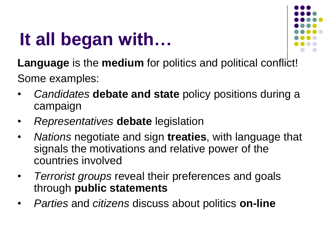

**Language** is the **medium** for politics and political conflict! Some examples:

- *Candidates* **debate and state** policy positions during a campaign
- *Representatives* **debate** legislation
- *Nations* negotiate and sign **treaties**, with language that signals the motivations and relative power of the countries involved
- *Terrorist groups* reveal their preferences and goals through **public statements**
- *Parties* and *citizens* discuss about politics **on-line**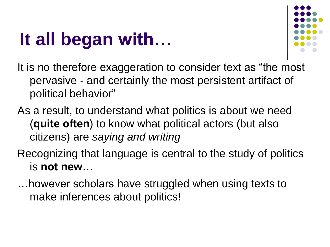

It is no therefore exaggeration to consider text as "the most pervasive - and certainly the most persistent artifact of political behavior"

- As a result, to understand what politics is about we need (**quite often**) to know what political actors (but also citizens) are *saying and writing*
- Recognizing that language is central to the study of politics is **not new**…
- …however scholars have struggled when using texts to make inferences about politics!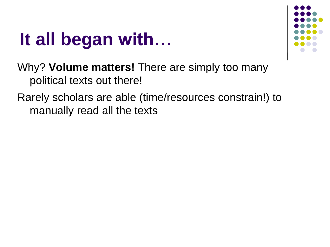

Why? **Volume matters!** There are simply too many political texts out there!

#### Rarely scholars are able (time/resources constrain!) to manually read all the texts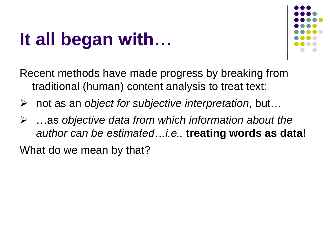

Recent methods have made progress by breaking from traditional (human) content analysis to treat text:

- not as an *object for subjective interpretation*, but…
- …as *objective data from which information about the author can be estimated…i.e.,* **treating words as data!**

What do we mean by that?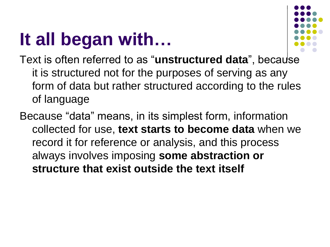

- Text is often referred to as "**unstructured data**", because it is structured not for the purposes of serving as any form of data but rather structured according to the rules of language
- Because "data" means, in its simplest form, information collected for use, **text starts to become data** when we record it for reference or analysis, and this process always involves imposing **some abstraction or structure that exist outside the text itself**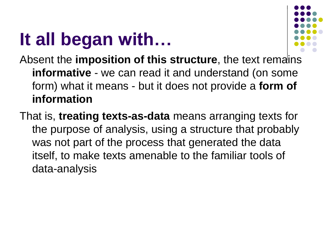

Absent the **imposition of this structure**, the text remains **informative** - we can read it and understand (on some form) what it means - but it does not provide a **form of information**

That is, **treating texts-as-data** means arranging texts for the purpose of analysis, using a structure that probably was not part of the process that generated the data itself, to make texts amenable to the familiar tools of data-analysis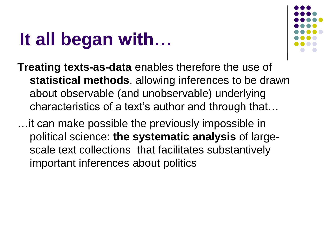

- **Treating texts-as-data** enables therefore the use of **statistical methods**, allowing inferences to be drawn about observable (and unobservable) underlying characteristics of a text's author and through that…
- …it can make possible the previously impossible in political science: **the systematic analysis** of largescale text collections that facilitates substantively important inferences about politics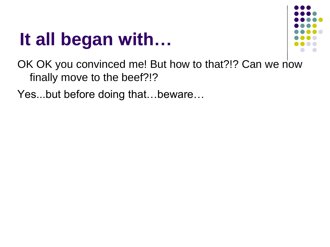

OK OK you convinced me! But how to that?!? Can we now finally move to the beef?!?

Yes...but before doing that…beware…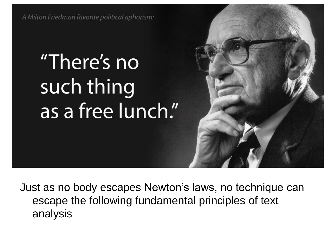A Milton Friedman favorite political aphorism:

# "There's no such thing as a free lunch."

Just as no body escapes Newton's laws, no technique can escape the following fundamental principles of text analysis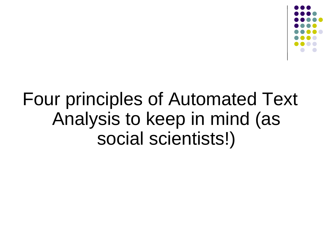

## Four principles of Automated Text Analysis to keep in mind (as social scientists!)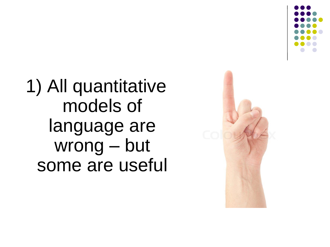



1) All quantitative models of language are wrong – but some are useful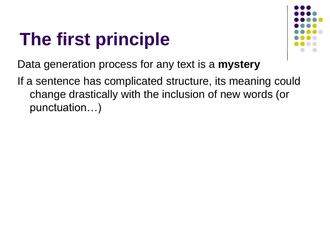# **The first principle**



Data generation process for any text is a **mystery**

If a sentence has complicated structure, its meaning could change drastically with the inclusion of new words (or punctuation…)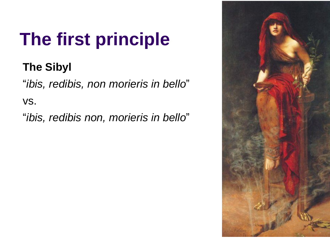# **The first principle**

### **The Sibyl**

"*ibis, redibis, non morieris in bello*"

vs.

"*ibis, redibis non, morieris in bello*"

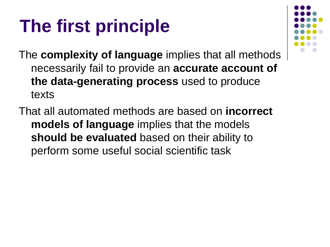# **The first principle**

The **complexity of language** implies that all methods necessarily fail to provide an **accurate account of the data-generating process** used to produce texts

That all automated methods are based on **incorrect models of language** implies that the models **should be evaluated** based on their ability to perform some useful social scientific task

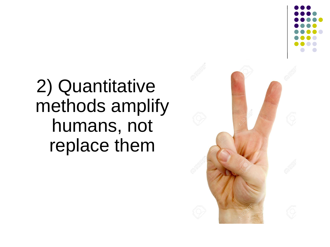

# 2) Quantitative methods amplify humans, not replace them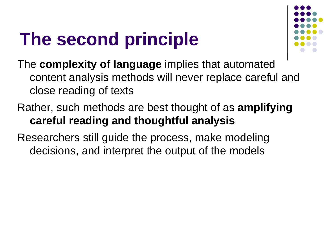# **The second principle**



The **complexity of language** implies that automated content analysis methods will never replace careful and close reading of texts

Rather, such methods are best thought of as **amplifying careful reading and thoughtful analysis**

Researchers still guide the process, make modeling decisions, and interpret the output of the models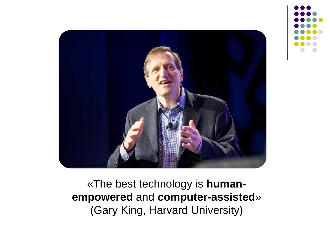

«The best technology is **humanempowered** and **computer-assisted**» (Gary King, Harvard University)

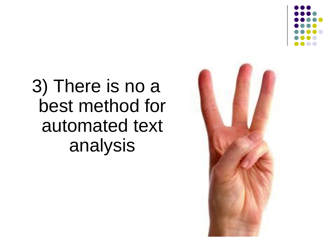



3) There is no a best method for automated text analysis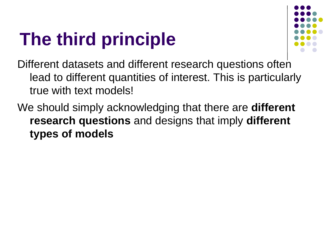# **The third principle**



Different datasets and different research questions often lead to different quantities of interest. This is particularly true with text models!

We should simply acknowledging that there are **different research questions** and designs that imply **different types of models**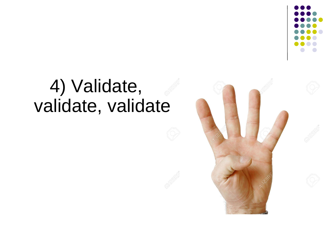

### 4) Validate, validate, validate

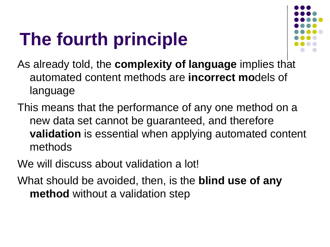# **The fourth principle**



As already told, the **complexity of language** implies that automated content methods are **incorrect mo**dels of language

This means that the performance of any one method on a new data set cannot be guaranteed, and therefore **validation** is essential when applying automated content methods

We will discuss about validation a lot!

What should be avoided, then, is the **blind use of any method** without a validation step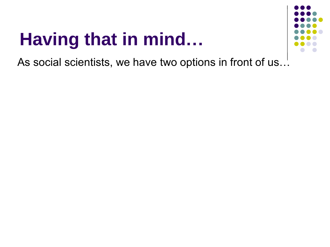# **Having that in mind…**



As social scientists, we have two options in front of us…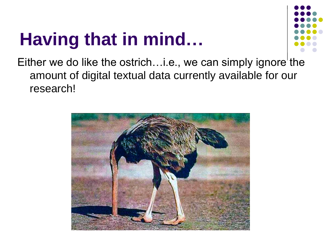# **Having that in mind…**



Either we do like the ostrich... i.e., we can simply ignore the amount of digital textual data currently available for our research!